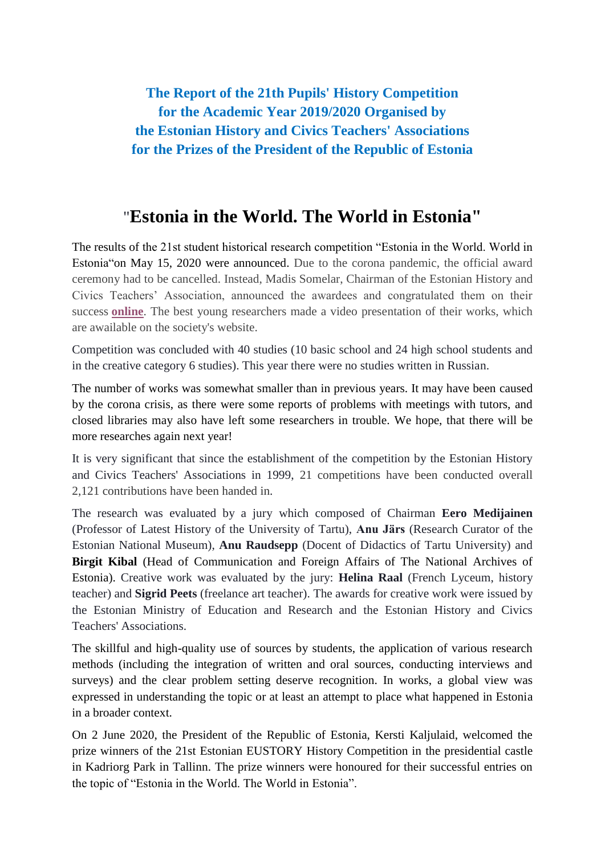**The Report of the 21th Pupils' History Competition for the Academic Year 2019/2020 Organised by the Estonian History and Civics Teachers' Associations for the Prizes of the President of the Republic of Estonia**

## "**Estonia in the World. The World in Estonia"**

The results of the 21st student historical research competition "Estonia in the World. World in Estonia"on May 15, 2020 were announced. Due to the corona pandemic, the official award ceremony had to be cancelled. Instead, Madis Somelar, Chairman of the Estonian History and Civics Teachers' Association, announced the awardees and congratulated them on their success **[online](https://eays.edu.ee/en/ajalooalaste-uurimistoode-voistlus-2019-2020/)**. The best young researchers made a video presentation of their works, which are awailable on the society's website.

Competition was concluded with 40 studies (10 basic school and 24 high school students and in the creative category 6 studies). This year there were no studies written in Russian.

The number of works was somewhat smaller than in previous years. It may have been caused by the corona crisis, as there were some reports of problems with meetings with tutors, and closed libraries may also have left some researchers in trouble. We hope, that there will be more researches again next year!

It is very significant that since the establishment of the competition by the Estonian History and Civics Teachers' Associations in 1999, 21 competitions have been conducted overall 2,121 contributions have been handed in.

The research was evaluated by a jury which composed of Chairman **Eero Medijainen** (Professor of Latest History of the University of Tartu), **Anu Järs** (Research Curator of the Estonian National Museum), **Anu Raudsepp** (Docent of Didactics of Tartu University) and **Birgit Kibal** (Head of Communication and Foreign Affairs of The National Archives of Estonia). Creative work was evaluated by the jury: **Helina Raal** (French Lyceum, history teacher) and **Sigrid Peets** (freelance art teacher). The awards for creative work were issued by the Estonian Ministry of Education and Research and the Estonian History and Civics Teachers' Associations.

The skillful and high-quality use of sources by students, the application of various research methods (including the integration of written and oral sources, conducting interviews and surveys) and the clear problem setting deserve recognition. In works, a global view was expressed in understanding the topic or at least an attempt to place what happened in Estonia in a broader context.

On 2 June 2020, the President of the Republic of Estonia, Kersti Kaljulaid, welcomed the prize winners of the 21st Estonian EUSTORY History Competition in the presidential castle in Kadriorg Park in Tallinn. The prize winners were honoured for their successful entries on the topic of "Estonia in the World. The World in Estonia".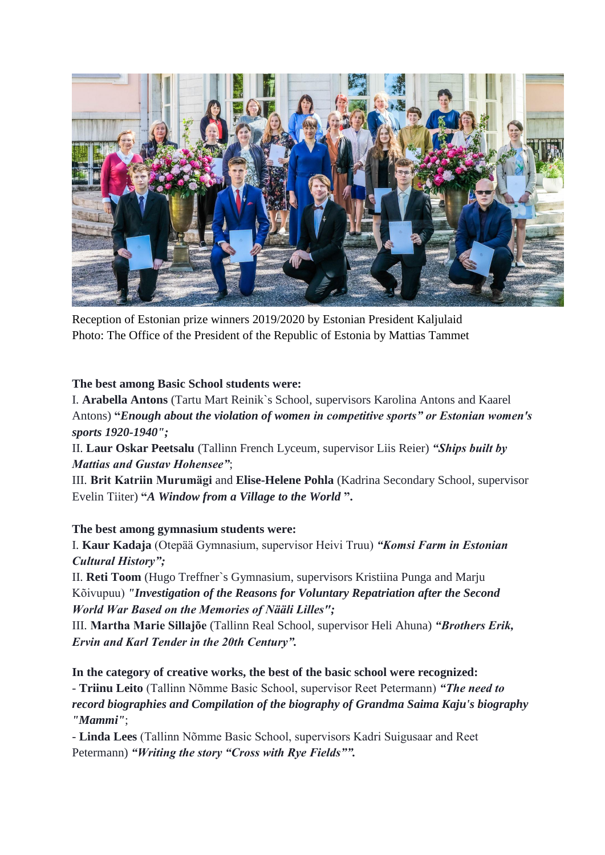

Reception of Estonian prize winners 2019/2020 by Estonian President Kaljulaid Photo: The Office of the President of the Republic of Estonia by Mattias Tammet

## **The best among Basic School students were:**

I. **Arabella Antons** (Tartu Mart Reinik`s School, supervisors Karolina Antons and Kaarel Antons) **"***Enough about the violation of women in competitive sports" or Estonian women's sports 1920-1940";*

II. **Laur Oskar Peetsalu** (Tallinn French Lyceum, supervisor Liis Reier) *"Ships built by Mattias and Gustav Hohensee"*;

III. **Brit Katriin Murumägi** and **Elise-Helene Pohla** (Kadrina Secondary School, supervisor Evelin Tiiter) **"***A Window from a Village to the World* **".**

## **The best among gymnasium students were:**

I. **Kaur Kadaja** (Otepää Gymnasium, supervisor Heivi Truu) *"Komsi Farm in Estonian Cultural History";*

II. **Reti Toom** (Hugo Treffner`s Gymnasium, supervisors Kristiina Punga and Marju Kõivupuu) *"Investigation of the Reasons for Voluntary Repatriation after the Second World War Based on the Memories of Nääli Lilles";*

III. **Martha Marie Sillajõe** (Tallinn Real School, supervisor Heli Ahuna) *"Brothers Erik, Ervin and Karl Tender in the 20th Century".*

**In the category of creative works, the best of the basic school were recognized:** - **Triinu Leito** (Tallinn Nõmme Basic School, supervisor Reet Petermann) *"The need to record biographies and Compilation of the biography of Grandma Saima Kaju's biography "Mammi"*;

- **Linda Lees** (Tallinn Nõmme Basic School, supervisors Kadri Suigusaar and Reet Petermann) *"Writing the story "Cross with Rye Fields"".*